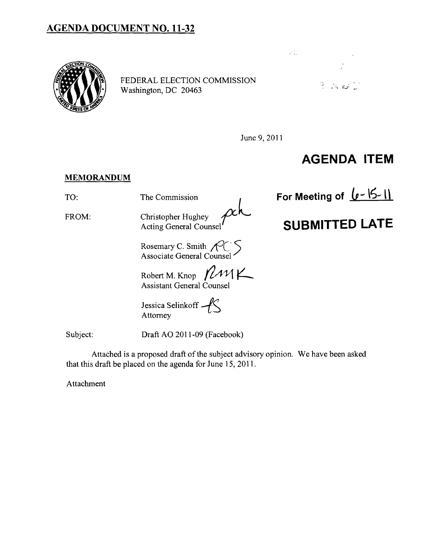## **AGENDA DOCUMENT NO. 11-32**



FEDERAL ELECTION COMMISSION Washington, DC 20463



June 9, 2011

## **AGENDA ITEM**

## **MEMORANDUM**

FROM: Christopher Hughey<br>Acting General Counsel

Rosemary C. Smith  $\mathcal{AC}$ Associate General Counsel ٔ

Robert M. Knop  $\mathcal{M}$ K Assistant General Counsel

Jessica Selinkoff  $-\sqrt{\left\langle \right\rangle}$ Attorney

Subject: Draft AO 2011-09 (Facebook)

Attached is a proposed draft of the subject advisory opinion. We have been asked that this draft be placed on the agenda for June 15,2011.

Attachment

TO: The Commission **For Meeting of**  $\left( \frac{\theta - 1}{2} \right)$ 

## **SUBMITTED LATE**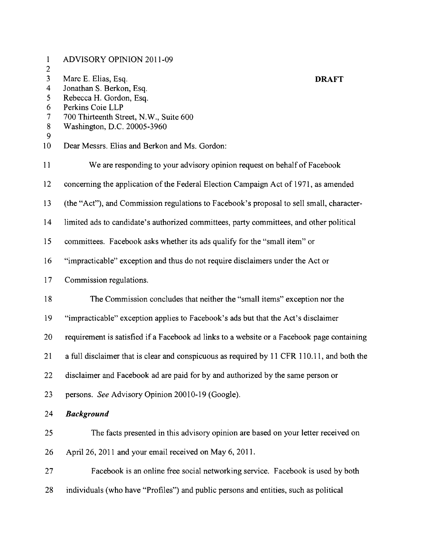| $\mathbf{1}$                     | <b>ADVISORY OPINION 2011-09</b>                                                            |
|----------------------------------|--------------------------------------------------------------------------------------------|
| $\overline{c}$<br>$\overline{3}$ | Marc E. Elias, Esq.<br><b>DRAFT</b>                                                        |
| $\overline{\mathbf{4}}$          | Jonathan S. Berkon, Esq.                                                                   |
| 5                                | Rebecca H. Gordon, Esq.                                                                    |
| 6                                | Perkins Coie LLP                                                                           |
| $\overline{7}$                   | 700 Thirteenth Street, N.W., Suite 600                                                     |
| $8\phantom{.}$<br>9              | Washington, D.C. 20005-3960                                                                |
| 10                               | Dear Messrs. Elias and Berkon and Ms. Gordon:                                              |
| 11                               | We are responding to your advisory opinion request on behalf of Facebook                   |
| 12                               | concerning the application of the Federal Election Campaign Act of 1971, as amended        |
| 13                               | (the "Act"), and Commission regulations to Facebook's proposal to sell small, character-   |
| 14                               | limited ads to candidate's authorized committees, party committees, and other political    |
| 15                               | committees. Facebook asks whether its ads qualify for the "small item" or                  |
| 16                               | "impracticable" exception and thus do not require disclaimers under the Act or             |
| 17                               | Commission regulations.                                                                    |
| 18                               | The Commission concludes that neither the "small items" exception nor the                  |
| 19                               | "impracticable" exception applies to Facebook's ads but that the Act's disclaimer          |
| 20                               | requirement is satisfied if a Facebook ad links to a website or a Facebook page containing |
| 21                               | a full disclaimer that is clear and conspicuous as required by 11 CFR 110.11, and both the |
| 22                               | disclaimer and Facebook ad are paid for by and authorized by the same person or            |
| 23                               | persons. See Advisory Opinion 20010-19 (Google).                                           |
| 24                               | <b>Background</b>                                                                          |
| 25                               | The facts presented in this advisory opinion are based on your letter received on          |
| 26                               | April 26, 2011 and your email received on May 6, 2011.                                     |
| 27                               | Facebook is an online free social networking service. Facebook is used by both             |
| 28                               | individuals (who have "Profiles") and public persons and entities, such as political       |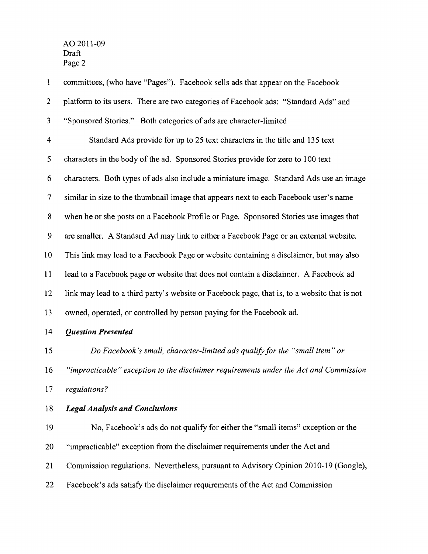$\mathbf{1}$ committees, (who have "Pages"). Facebook sells ads that appear on the Facebook 2 platform to its users. There are two categories of Facebook ads: "Standard Ads" and 3 "Sponsored Stories." Both categories of ads are character-limited. 4 Standard Ads provide for up to 25 text characters in the title and 135 text 5 characters in the body of the ad. Sponsored Stories provide for zero to 100 text 6 characters. Both types of ads also include a miniature image. Standard Ads use an image 7 similar in size to the thumbnail image that appears next to each Facebook user's name 8 when he or she posts on a Facebook Profile or Page. Sponsored Stories use images that 9 are smaller. A Standard Ad may link to either a Facebook Page or an external website. 10 This link may lead to a Facebook Page or website containing a disclaimer, but may also 11 lead to a Facebook page or website that does not contain a disclaimer. A Facebook ad 12 link may lead to a third party's website or Facebook page, that is, to a website that is not 13 owned, operated, or controlled by person paying for the Facebook ad. *14 Question Presented 15 Do Facebook 's small, character-limited ads qualify for the "small item" or 16 "impracticable" exception to the disclaimer requirements under the Act and Commission*  17 *regulations?*  18 *Legal Analysis and Conclusions*  19 No, Facebook's ads do not qualify for either the "small items" exception or the 20 "impracticable" exception from the disclaimer requirements under the Act and 21 Commission regulations. Nevertheless, pursuant to Advisory Opinion 2010-19 (Google), 22 Facebook's ads satisfy the disclaimer requirements of the Act and Commission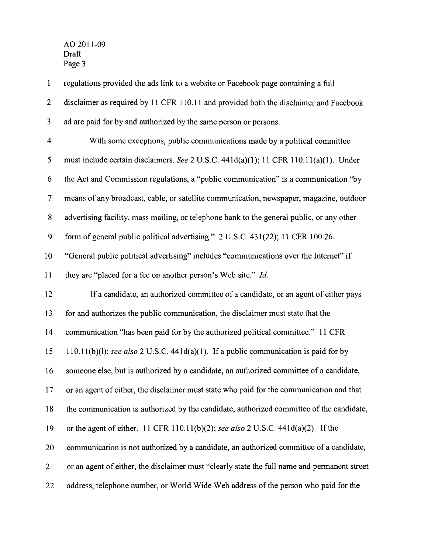$\mathbf{1}$ regulations provided the ads link to a website or Facebook page containing a full 2 disclaimer as required by 11 CFR 110.11 and provided both the disclaimer and Facebook 3 ad are paid for by and authorized by the same person or persons. 4 With some exceptions, public communications made by a political committee 5 must include certain disclaimers. *See* 2 U.S.c. 441d(a)(1); 11 CFR 110.11(a)(1). Under 6 the Act and Commission regulations, a "public communication" is a communication "by 7 means of any broadcast, cable, or satellite communication, newspaper, magazine, outdoor 8 advertising facility, mass mailing, or telephone bank to the general public, or any other 9 form of general public political advertising." 2 U.S.C. 431(22); 11 CFR 100.26. 10 "General public political advertising" includes "communications over the Internet" if 11 they are "placed for a fee on another person's Web site." *Id.*  12 If a candidate, an authorized committee of a candidate, or an agent of either pays 13 for and authorizes the public communication, the disclaimer must state that the 14 communication "has been paid for by the authorized political committee." 11 CFR 15 11 O.ll(b)(l); *see also* 2 U.S.C. 441d(a)(1). If a public communication is paid for by 16 someone else, but is authorized by a candidate, an authorized committee of a candidate, 17 or an agent of either, the disclaimer must state who paid for the communication and that 18 the communication is authorized by the candidate, authorized committee of the candidate, 19 or the agent of either. 11 CFR 110.11 (b)(2); *see also* 2 U.S.C. 441 d(a)(2). If the 20 communication is not authorized by a candidate, an authorized committee of a candidate, 21 or an agent of either, the disclaimer must "clearly state the full name and permanent street 22 address, telephone number, or World Wide Web address of the person who paid for the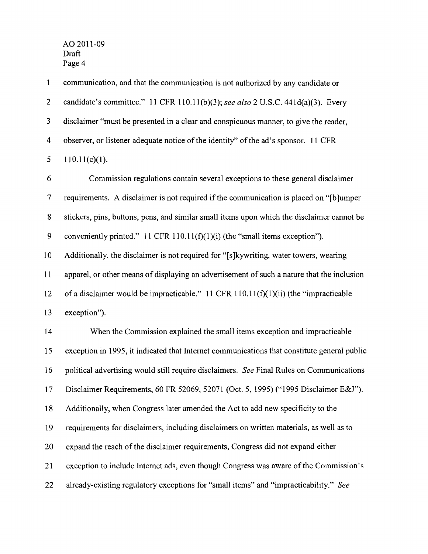1 communication, and that the communication is not authorized by any candidate or 2 candidate's committee." 11 CFR 110.11(b)(3); *see also* 2 U.S.C. 441d(a)(3). Every 3 disclaimer "must be presented in a clear and conspicuous manner, to give the reader, 4 observer, or listener adequate notice of the identity" of the ad's sponsor. 11 CFR 5  $110.11(c)(1)$ .

6 Commission regulations contain several exceptions to these general disclaimer 7 requirements. A disclaimer is not required if the communication is placed on "[b]umper 8 stickers, pins, buttons, pens, and similar small items upon which the disclaimer cannot be 9 conveniently printed." 11 CFR 110.11( $f$ )(1)(i) (the "small items exception"). 10 Additionally, the disclaimer is not required for "[s]kywriting, water towers, wearing 11 apparel, or other means of displaying an advertisement of such a nature that the inclusion 12 of a disclaimer would be impracticable." 11 CFR 110.11( $f$ )(1)(ii) (the "impracticable 13 exception"). 14 When the Commission explained the small items exception and impracticable 15 exception in 1995, it indicated that Internet communications that constitute general public 16 political advertising would still require disclaimers. *See* Final Rules on Communications 17 Disclaimer Requirements, 60 FR 52069, 52071 (Oct. 5, 1995) ("1995 Disclaimer E&J"). 18 Additionally, when Congress later amended the Act to add new specificity to the 19 requirements for disclaimers, including disclaimers on written materials, as well as to 20 expand the reach of the disclaimer requirements, Congress did not expand either 21 exception to include Internet ads, even though Congress was aware of the Commission's 22 already-existing regulatory exceptions for "small items" and "impracticability." *See*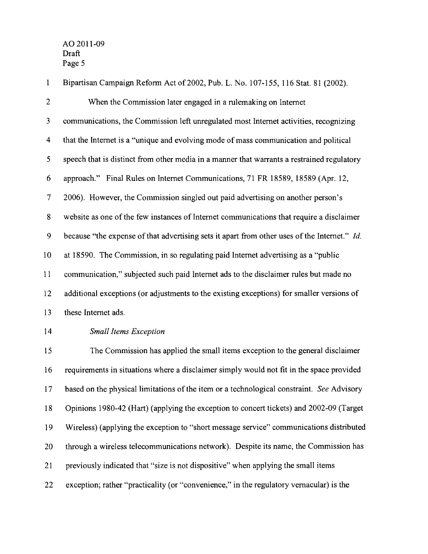$\mathbf{1}$ Bipartisan Campaign Refonn Act of2002, Pub. L. No. 107-155, 116 Stat. 81 (2002). 2 When the Commission later engaged in a rulemaking on Internet 3 communications, the Commission left unregulated most Internet activities, recognizing 4 that the Internet is a "unique and evolving mode of mass communication and political 5 speech that is distinct from other media in a manner that warrants a restrained regulatory 6 approach." Final Rules on Internet Communications, 71 FR 18589,18589 (Apr. 12, 7 2006). However, the Commission singled out paid advertising on another person's 8 website as one of the few instances of Internet communications that require a disclaimer 9 because "the expense of that advertising sets it apart from other uses of the Internet." *Id.*  10 at 18590. The Commission, in so regulating paid Internet advertising as a "public 11 communication," subjected such paid Internet ads to the disclaimer rules but made no 12 additional exceptions (or adjustments to the existing exceptions) for smaller versions of 13 these Internet ads. *14 Small Items Exception*  15 The Commission has applied the small items exception to the general disclaimer 16 requirements in situations where a disclaimer simply would not fit in the space provided 17 based on the physical limitations of the item or a technological constraint. *See* Advisory 18 Opinions 1980-42 (Hart) (applying the exception to concert tickets) and 2002-09 (Target 19 Wireless) (applying the exception to "short message service" communications distributed 20 through a wireless telecommunications network). Despite its name, the Commission has 21 previously indicated that "size is not dispositive" when applying the small items

22 exception; rather "practicality (or "convenience," in the regulatory vernacular) is the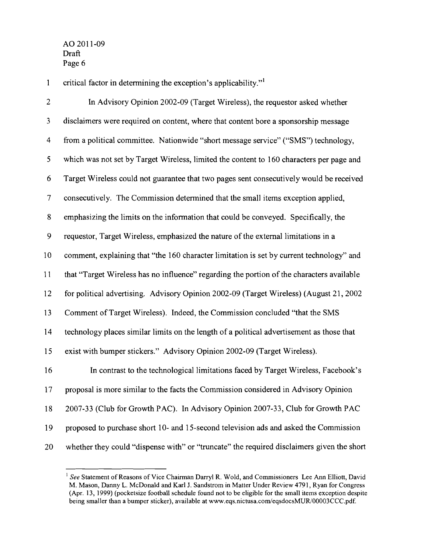1 critical factor in determining the exception's applicability."

2 In Advisory Opinion 2002-09 (Target Wireless), the requestor asked whether 3 disclaimers were required on content, where that content bore a sponsorship message 4 from a political committee. Nationwide "short message service" ("SMS") technology, 5 which was not set by Target Wireless, limited the content to 160 characters per page and 6 Target Wireless could not guarantee that two pages sent consecutively would be received 7 consecutively. The Commission detennined that the small items exception applied, 8 emphasizing the limits on the infonnation that could be conveyed. Specifically, the 9 requestor, Target Wireless, emphasized the nature of the external limitations in a 10 comment, explaining that "the 160 character limitation is set by current technology" and 11 that "Target Wireless has no influence" regarding the portion of the characters available 12 for political advertising. Advisory Opinion 2002-09 (Target Wireless) (August 21,2002 13 Comment ofTarget Wireless). Indeed, the Commission concluded "that the SMS 14 technology places similar limits on the length of a political advertisement as those that 15 exist with bumper stickers." Advisory Opinion 2002-09 (Target Wireless). 16 In contrast to the technological limitations faced by Target Wireless, Facebook's 17 proposal is more similar to the facts the Commission considered in Advisory Opinion 18 2007-33 (Club for Growth PAC). In Advisory Opinion 2007-33, Club for Growth PAC 19 proposed to purchase short 10- and 15-second television ads and asked the Commission 20 whether they could "dispense with" or "truncate" the required disclaimers given the short

<sup>&</sup>lt;sup>1</sup> See Statement of Reasons of Vice Chairman Darryl R. Wold, and Commissioners Lee Ann Elliott, David M. Mason, Danny L. McDonald and Karl J. Sandstrom in Matter Under Review 4791, Ryan for Congress (Apr. 13, 1999) (pocketsize football schedule found not to be eligible for the small items exception despite being smaller than a bumper sticker), available at www.eqs.nictusa.com/eqsdocsMUR/00003CCC.pdf.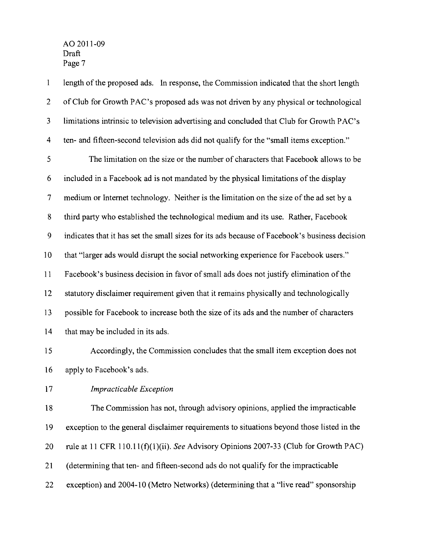$\mathbf{1}$ length of the proposed ads. In response, the Commission indicated that the short length 2 of Club for Growth PAC's proposed ads was not driven by any physical or technological 3 limitations intrinsic to television advertising and concluded that Club for Growth PAC's 4 ten- and fifteen-second television ads did not qualify for the "small items exception." 5 The limitation on the size or the number of characters that Facebook allows to be 6 included in a Facebook ad is not mandated by the physical limitations of the display 7 medium or Internet technology. Neither is the limitation on the size of the ad set by a 8 third party who established the technological medium and its use. Rather, Facebook 9 indicates that it has set the small sizes for its ads because of Facebook's business decision 10 that "larger ads would disrupt the social networking experience for Facebook users." 11 Facebook's business decision in favor of small ads does not justify elimination of the 12 statutory disclaimer requirement given that it remains physically and technologically 13 possible for Facebook to increase both the size of its ads and the number of characters 14 that may be included in its ads.

15 Accordingly, the Commission concludes that the small item exception does not 16 apply to Facebook's ads.

17 *Impracticable Exception* 

18 The Commission has not, through advisory opinions, applied the impracticable 19 exception to the general disclaimer requirements to situations beyond those listed in the 20 rule at 11 CFR 110.11(f)(I)(ii). *See* Advisory Opinions 2007-33 (Club for Growth PAC) 21 (determining that ten- and fifteen-second ads do not qualify for the impracticable 22 exception) and 2004-10 (Metro Networks) (determining that a "live read" sponsorship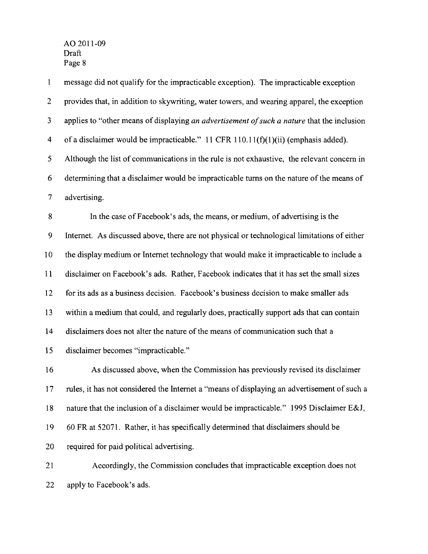message did not qualify for the impracticable exception). The impracticable exception  $\mathbf{1}$ 2 provides that, in addition to skywriting, water towers, and wearing apparel, the exception 3 applies to "other means of displaying *an advertisement ofsuch a nature* that the inclusion 4 ofa disclaimer would be impracticable." 11 CFR 110.11(t)(1)(ii) (emphasis added). 5 Although the list of communications in the rule is not exhaustive, the relevant concern in 6 determining that a disclaimer would be impracticable turns on the nature of the means of 7 advertising. 8 **In** the case of Facebook's ads, the means, or medium, of advertising is the 9 Internet. As discussed above, there are not physical or technological limitations of either 10 the display medium or Internet technology that would make it impracticable to include a 11 disclaimer on Facebook's ads. Rather, Facebook indicates that it has set the small sizes 12 for its ads as a business decision. Facebook's business decision to make smaller ads 13 within a medium that could, and regularly does, practically support ads that can contain 14 disclaimers does not alter the nature of the means of communication such that a 15 disclaimer becomes "impracticable." 16 As discussed above, when the Commission has previously revised its disclaimer 17 rules, it has not considered the Internet a "means of displaying an advertisement of such a 18 nature that the inclusion of a disclaimer would be impracticable." 1995 Disclaimer E&J, 19 60 FR at 52071. Rather, it has specifically determined that disclaimers should be 20 required for paid political advertising. 21 Accordingly, the Commission concludes that impracticable exception does not 22 apply to Facebook's ads.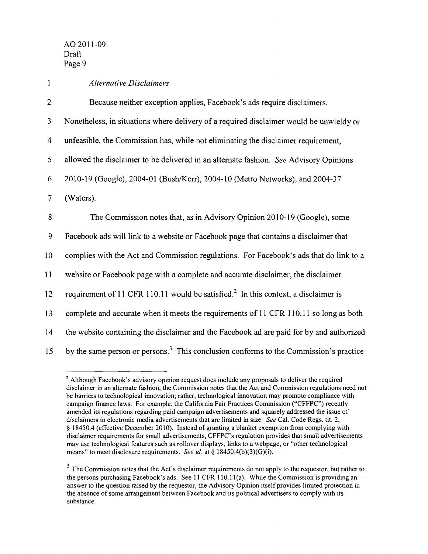*1 Alternative Disclaimers*  2 Because neither exception applies, Facebook's ads require disclaimers. 3 Nonetheless, in situations where delivery of a required disclaimer would be unwieldy or 4 unfeasible, the Commission has, while not eliminating the disclaimer requirement, 5 allowed the disclaimer to be delivered in an alternate fashion. *See* Advisory Opinions 6 2010-19 (Google), 2004-01 (Bush/Kerr), 2004-10 (Metro Networks), and 2004-37 7 (Waters). 8 The Commission notes that, as in Advisory Opinion 2010-19 (Goog1e), some 9 Facebook ads will link to a website or Facebook page that contains a disclaimer that 10 complies with the Act and Commission regulations. For Facebook's ads that do link to a II website or Facebook page with a complete and accurate disclaimer, the disclaimer 12 requirement of 11 CFR 110.11 would be satisfied.<sup>2</sup> In this context, a disclaimer is 13 complete and accurate when it meets the requirements of 11 CFR 110.11 so long as both 14 the website containing the disclaimer and the Facebook ad are paid for by and authorized 15 by the same person or persons.<sup>3</sup> This conclusion conforms to the Commission's practice

<sup>&</sup>lt;sup>2</sup> Although Facebook's advisory opinion request does include any proposals to deliver the required disclaimer in an alternate fashion, the Commission notes that the Act and Commission regulations need not be barriers to technological innovation; rather, technological innovation may promote compliance with campaign finance laws. For example, the California Fair Practices Commission ("CFFPC") recently amended its regulations regarding paid campaign advertisements and squarely addressed the issue of disclaimers in electronic media advertisements that are limited in size. *See* Cal. Code Regs. tit. 2, § 18450.4 (effective December 2010). Instead of granting a blanket exemption from complying with disclaimer requirements for small advertisements, CFFPC's regulation provides that small advertisements may use technological features such as rollover displays, links to a webpage, or "other technological means" to meet disclosure requirements. *See id.* at § 18450.4(b)(3)(G)(i).

 $3$  The Commission notes that the Act's disclaimer requirements do not apply to the requestor, but rather to the persons purchasing Facebook's ads. See II CFR 110.lI(a). While the Commission is providing an answer to the question raised by the requestor, the Advisory Opinion itself provides limited protection in the absence of some arrangement between Facebook and its political advertisers to comply with its substance.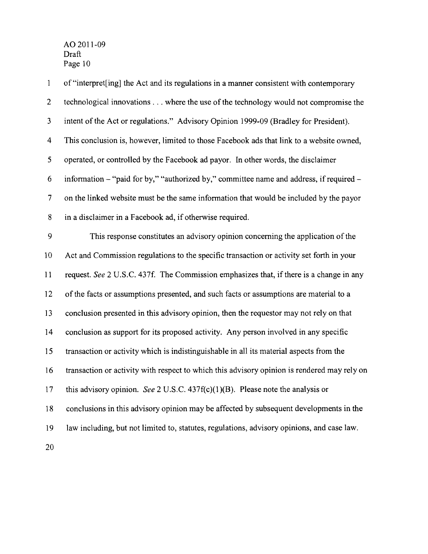1 of"interpret[ing] the Act and its regulations in a manner consistent with contemporary 2 technological innovations ... where the use of the technology would not compromise the 3 intent of the Act or regulations." Advisory Opinion 1999-09 (Bradley for President). 4 This conclusion is, however, limited to those Facebook ads that link to a website owned, 5 operated, or controlled by the Facebook ad payor. In other words, the disclaimer 6 information  $-$  "paid for by," "authorized by," committee name and address, if required  $-$ 7 on the linked website must be the same information that would be included by the payor 8 in a disclaimer in a Facebook ad, if otherwise required. 9 This response constitutes an advisory opinion concerning the application ofthe 10 Act and Commission regulations to the specific transaction or activity set forth in your 11 request. *See* 2 U.S.C. 437f. The Commission emphasizes that, ifthere is a change in any 12 of the facts or assumptions presented, and such facts or assumptions are material to a 13 conclusion presented in this advisory opinion, then the requestor may not rely on that 14 conclusion as support for its proposed activity. Any person involved in any specific 15 transaction or activity which is indistinguishable in all its material aspects from the 16 transaction or activity with respect to which this advisory opinion is rendered may rely on 17 this advisory opinion. *See* 2 U.S.C. 437f(c)(I)(B). Please note the analysis or 18 conclusions in this advisory opinion may be affected by subsequent developments in the 19 law including, but not limited to, statutes, regulations, advisory opinions, and case law. 20